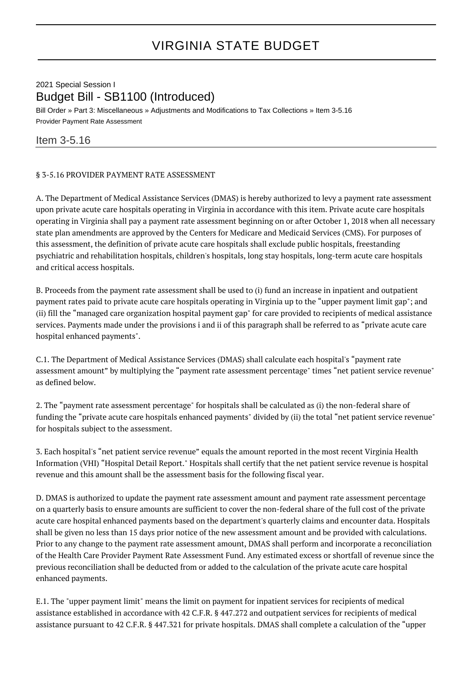## VIRGINIA STATE BUDGET

## 2021 Special Session I Budget Bill - SB1100 (Introduced)

Bill Order » Part 3: Miscellaneous » Adjustments and Modifications to Tax Collections » Item 3-5.16 Provider Payment Rate Assessment

## Item 3-5.16

## § 3-5.16 PROVIDER PAYMENT RATE ASSESSMENT

A. The Department of Medical Assistance Services (DMAS) is hereby authorized to levy a payment rate assessment upon private acute care hospitals operating in Virginia in accordance with this item. Private acute care hospitals operating in Virginia shall pay a payment rate assessment beginning on or after October 1, 2018 when all necessary state plan amendments are approved by the Centers for Medicare and Medicaid Services (CMS). For purposes of this assessment, the definition of private acute care hospitals shall exclude public hospitals, freestanding psychiatric and rehabilitation hospitals, children's hospitals, long stay hospitals, long-term acute care hospitals and critical access hospitals.

B. Proceeds from the payment rate assessment shall be used to (i) fund an increase in inpatient and outpatient payment rates paid to private acute care hospitals operating in Virginia up to the "upper payment limit gap"; and (ii) fill the "managed care organization hospital payment gap" for care provided to recipients of medical assistance services. Payments made under the provisions i and ii of this paragraph shall be referred to as "private acute care hospital enhanced payments".

C.1. The Department of Medical Assistance Services (DMAS) shall calculate each hospital's "payment rate assessment amount" by multiplying the "payment rate assessment percentage" times "net patient service revenue" as defined below.

2. The "payment rate assessment percentage" for hospitals shall be calculated as (i) the non-federal share of funding the "private acute care hospitals enhanced payments" divided by (ii) the total "net patient service revenue" for hospitals subject to the assessment.

3. Each hospital's "net patient service revenue" equals the amount reported in the most recent Virginia Health Information (VHI) "Hospital Detail Report." Hospitals shall certify that the net patient service revenue is hospital revenue and this amount shall be the assessment basis for the following fiscal year.

D. DMAS is authorized to update the payment rate assessment amount and payment rate assessment percentage on a quarterly basis to ensure amounts are sufficient to cover the non-federal share of the full cost of the private acute care hospital enhanced payments based on the department's quarterly claims and encounter data. Hospitals shall be given no less than 15 days prior notice of the new assessment amount and be provided with calculations. Prior to any change to the payment rate assessment amount, DMAS shall perform and incorporate a reconciliation of the Health Care Provider Payment Rate Assessment Fund. Any estimated excess or shortfall of revenue since the previous reconciliation shall be deducted from or added to the calculation of the private acute care hospital enhanced payments.

E.1. The "upper payment limit" means the limit on payment for inpatient services for recipients of medical assistance established in accordance with 42 C.F.R. § 447.272 and outpatient services for recipients of medical assistance pursuant to 42 C.F.R. § 447.321 for private hospitals. DMAS shall complete a calculation of the "upper